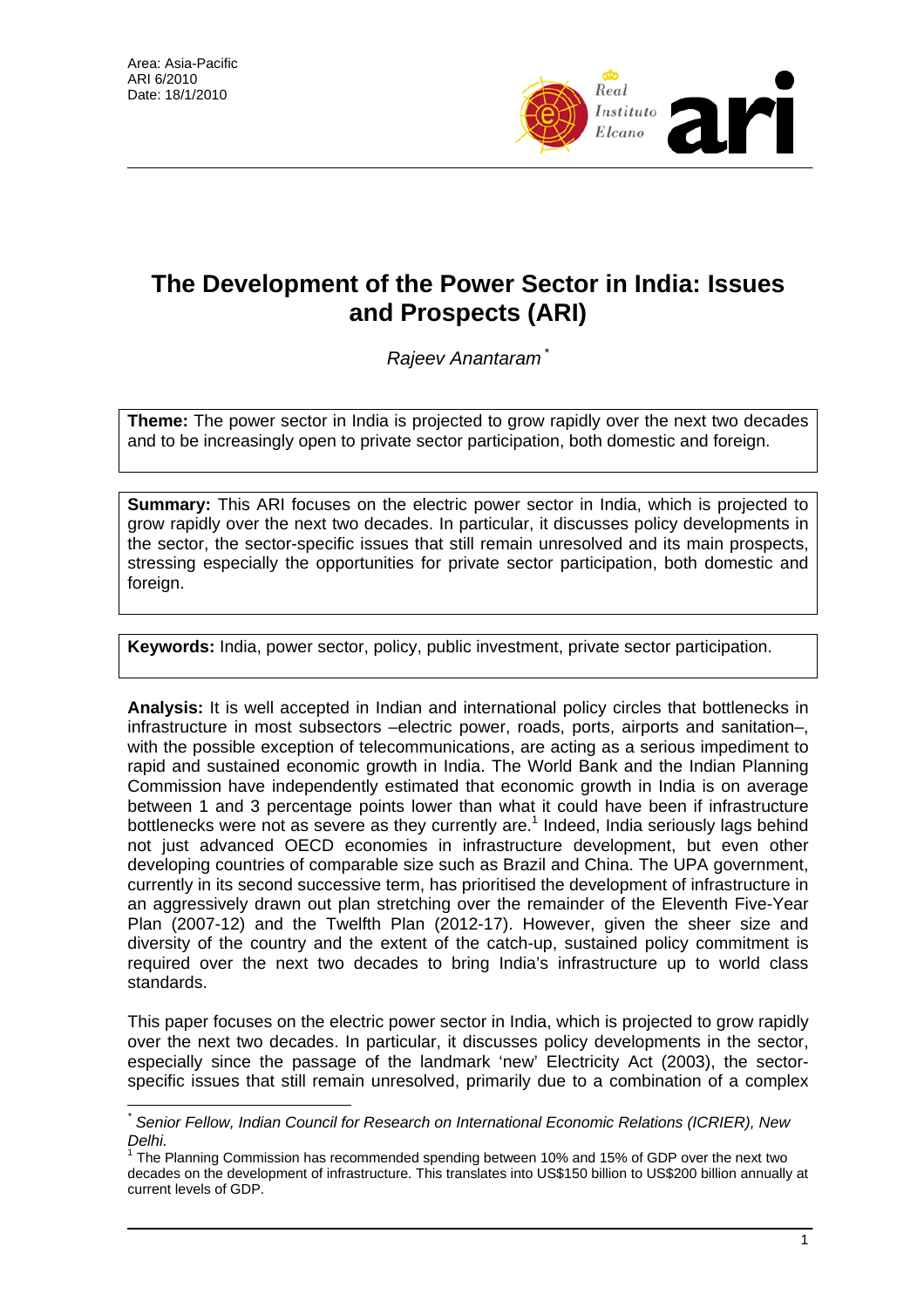$\overline{a}$ 



# **The Development of the Power Sector in India: Issues and Prospects (ARI)**

*Rajeev Anantaram* [\\*](#page-0-0)

**Theme:** The power sector in India is projected to grow rapidly over the next two decades and to be increasingly open to private sector participation, both domestic and foreign.

**Summary:** This ARI focuses on the electric power sector in India, which is projected to grow rapidly over the next two decades. In particular, it discusses policy developments in the sector, the sector-specific issues that still remain unresolved and its main prospects, stressing especially the opportunities for private sector participation, both domestic and foreign.

**Keywords:** India, power sector, policy, public investment, private sector participation.

**Analysis:** It is well accepted in Indian and international policy circles that bottlenecks in infrastructure in most subsectors –electric power, roads, ports, airports and sanitation–, with the possible exception of telecommunications, are acting as a serious impediment to rapid and sustained economic growth in India. The World Bank and the Indian Planning Commission have independently estimated that economic growth in India is on average between 1 and 3 percentage points lower than what it could have been if infrastructure bottlenecks were not as severe as they currently are.<sup>[1](#page-0-1)</sup> Indeed, India seriously lags behind not just advanced OECD economies in infrastructure development, but even other developing countries of comparable size such as Brazil and China. The UPA government, currently in its second successive term, has prioritised the development of infrastructure in an aggressively drawn out plan stretching over the remainder of the Eleventh Five-Year Plan (2007-12) and the Twelfth Plan (2012-17). However, given the sheer size and diversity of the country and the extent of the catch-up, sustained policy commitment is required over the next two decades to bring India's infrastructure up to world class standards.

This paper focuses on the electric power sector in India, which is projected to grow rapidly over the next two decades. In particular, it discusses policy developments in the sector, especially since the passage of the landmark 'new' Electricity Act (2003), the sectorspecific issues that still remain unresolved, primarily due to a combination of a complex

<span id="page-0-0"></span>*<sup>\*</sup> Senior Fellow, Indian Council for Research on International Economic Relations (ICRIER), New Delhi.* 

<span id="page-0-1"></span> $1$  The Planning Commission has recommended spending between 10% and 15% of GDP over the next two decades on the development of infrastructure. This translates into US\$150 billion to US\$200 billion annually at current levels of GDP.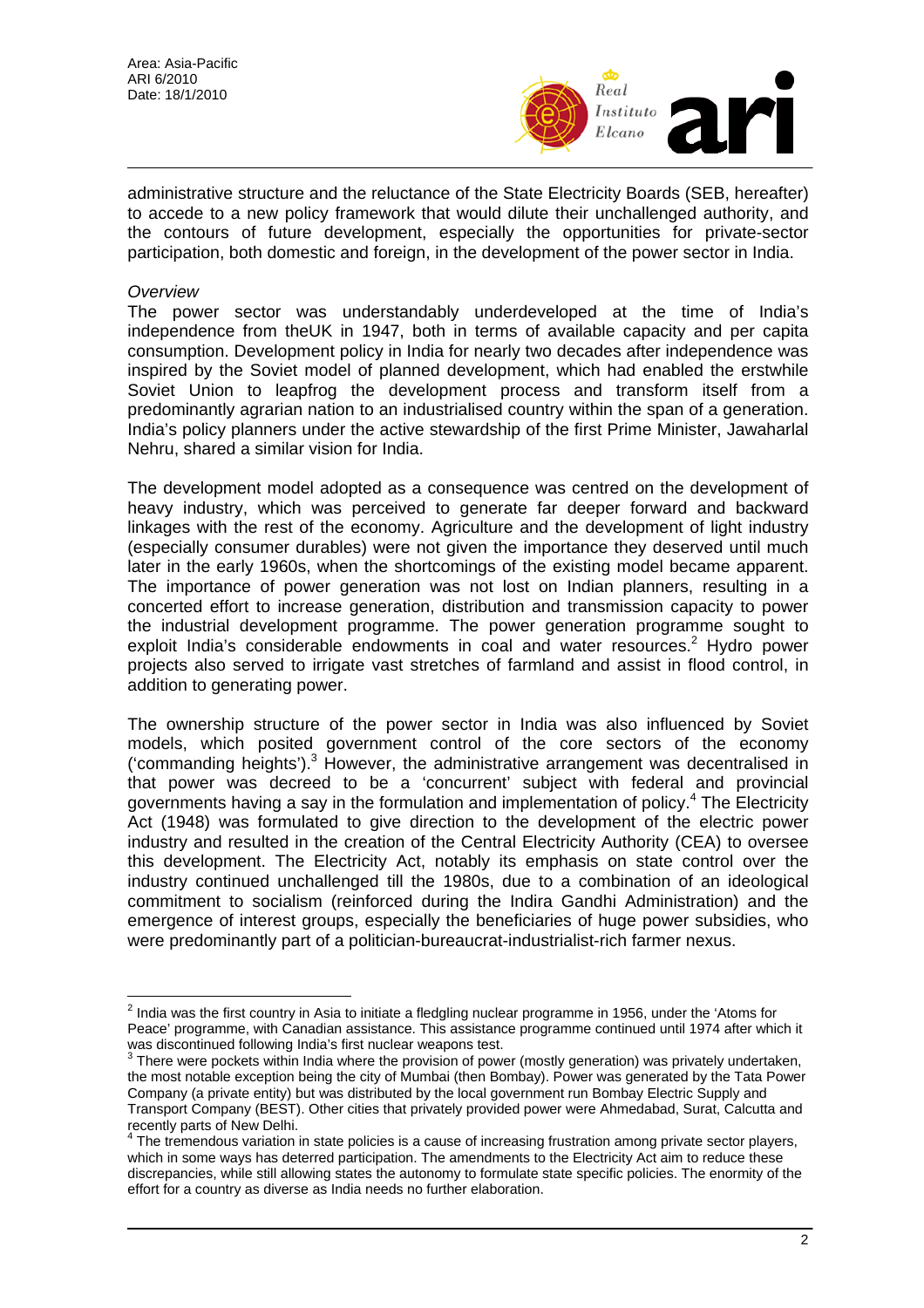

administrative structure and the reluctance of the State Electricity Boards (SEB, hereafter) to accede to a new policy framework that would dilute their unchallenged authority, and the contours of future development, especially the opportunities for private-sector participation, both domestic and foreign, in the development of the power sector in India.

### *Overview*

 $\overline{a}$ 

The power sector was understandably underdeveloped at the time of India's independence from theUK in 1947, both in terms of available capacity and per capita consumption. Development policy in India for nearly two decades after independence was inspired by the Soviet model of planned development, which had enabled the erstwhile Soviet Union to leapfrog the development process and transform itself from a predominantly agrarian nation to an industrialised country within the span of a generation. India's policy planners under the active stewardship of the first Prime Minister, Jawaharlal Nehru, shared a similar vision for India.

The development model adopted as a consequence was centred on the development of heavy industry, which was perceived to generate far deeper forward and backward linkages with the rest of the economy. Agriculture and the development of light industry (especially consumer durables) were not given the importance they deserved until much later in the early 1960s, when the shortcomings of the existing model became apparent. The importance of power generation was not lost on Indian planners, resulting in a concerted effort to increase generation, distribution and transmission capacity to power the industrial development programme. The power generation programme sought to exploit India's considerable endowments in coal and water resources.<sup>2</sup> Hydro power projects also served to irrigate vast stretches of farmland and assist in flood control, in addition to generating power.

The ownership structure of the power sector in India was also influenced by Soviet models, which posited government control of the core sectors of the economy ('commanding heights'). $3$  However, the administrative arrangement was decentralised in that power was decreed to be a 'concurrent' subject with federal and provincial governmentshaving a say in the formulation and implementation of policy.<sup>4</sup> The Electricity Act (1948) was formulated to give direction to the development of the electric power industry and resulted in the creation of the Central Electricity Authority (CEA) to oversee this development. The Electricity Act, notably its emphasis on state control over the industry continued unchallenged till the 1980s, due to a combination of an ideological commitment to socialism (reinforced during the Indira Gandhi Administration) and the emergence of interest groups, especially the beneficiaries of huge power subsidies, who were predominantly part of a politician-bureaucrat-industrialist-rich farmer nexus.

<span id="page-1-0"></span> $^2$  India was the first country in Asia to initiate a fledgling nuclear programme in 1956, under the 'Atoms for Peace' programme, with Canadian assistance. This assistance programme continued until 1974 after which it was discontinued following India's first nuclear weapons test.<br><sup>3</sup> There were pockets within India where the provision of power (mostly generation) was privately undertaken,

<span id="page-1-1"></span>the most notable exception being the city of Mumbai (then Bombay). Power was generated by the Tata Power Company (a private entity) but was distributed by the local government run Bombay Electric Supply and Transport Company (BEST). Other cities that privately provided power were Ahmedabad, Surat, Calcutta and

<span id="page-1-2"></span>recently parts of New Delhi.<br><sup>4</sup> The tremendous variation in state policies is a cause of increasing frustration among private sector players, which in some ways has deterred participation. The amendments to the Electricity Act aim to reduce these discrepancies, while still allowing states the autonomy to formulate state specific policies. The enormity of the effort for a country as diverse as India needs no further elaboration.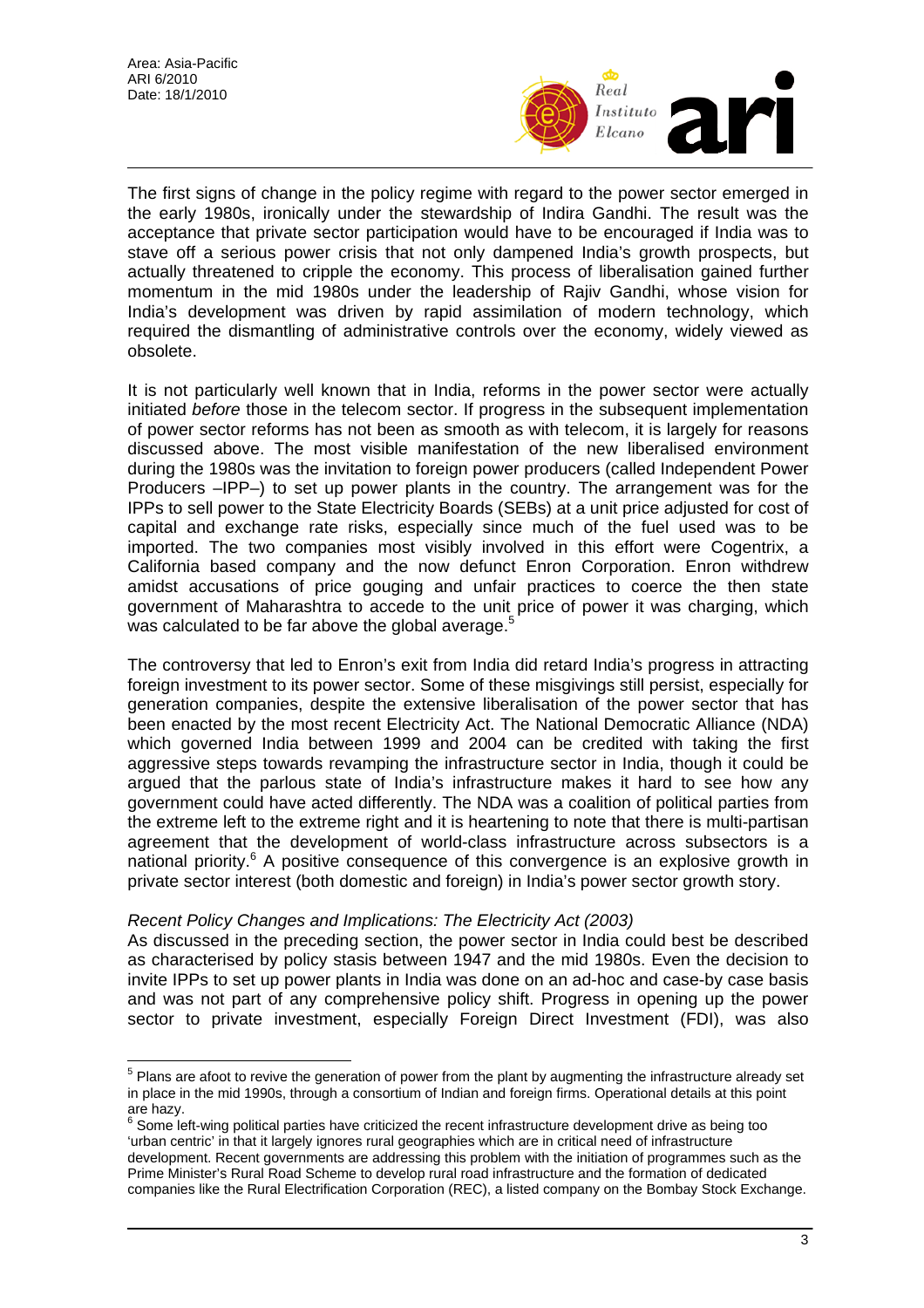$\overline{a}$ 



The first signs of change in the policy regime with regard to the power sector emerged in the early 1980s, ironically under the stewardship of Indira Gandhi. The result was the acceptance that private sector participation would have to be encouraged if India was to stave off a serious power crisis that not only dampened India's growth prospects, but actually threatened to cripple the economy. This process of liberalisation gained further momentum in the mid 1980s under the leadership of Rajiv Gandhi, whose vision for India's development was driven by rapid assimilation of modern technology, which required the dismantling of administrative controls over the economy, widely viewed as obsolete.

It is not particularly well known that in India, reforms in the power sector were actually initiated *before* those in the telecom sector. If progress in the subsequent implementation of power sector reforms has not been as smooth as with telecom, it is largely for reasons discussed above. The most visible manifestation of the new liberalised environment during the 1980s was the invitation to foreign power producers (called Independent Power Producers –IPP–) to set up power plants in the country. The arrangement was for the IPPs to sell power to the State Electricity Boards (SEBs) at a unit price adjusted for cost of capital and exchange rate risks, especially since much of the fuel used was to be imported. The two companies most visibly involved in this effort were Cogentrix, a California based company and the now defunct Enron Corporation. Enron withdrew amidst accusations of price gouging and unfair practices to coerce the then state government of Maharashtra to accede to the unit price of power it was charging, which was calculated to be far above the global average.<sup>[5](#page-2-0)</sup>

The controversy that led to Enron's exit from India did retard India's progress in attracting foreign investment to its power sector. Some of these misgivings still persist, especially for generation companies, despite the extensive liberalisation of the power sector that has been enacted by the most recent Electricity Act. The National Democratic Alliance (NDA) which governed India between 1999 and 2004 can be credited with taking the first aggressive steps towards revamping the infrastructure sector in India, though it could be argued that the parlous state of India's infrastructure makes it hard to see how any government could have acted differently. The NDA was a coalition of political parties from the extreme left to the extreme right and it is heartening to note that there is multi-partisan agreement that the development of world-class infrastructure across subsectors is a national priority.<sup>[6](#page-2-1)</sup> A positive consequence of this convergence is an explosive growth in private sector interest (both domestic and foreign) in India's power sector growth story.

# *Recent Policy Changes and Implications: The Electricity Act (2003)*

As discussed in the preceding section, the power sector in India could best be described as characterised by policy stasis between 1947 and the mid 1980s. Even the decision to invite IPPs to set up power plants in India was done on an ad-hoc and case-by case basis and was not part of any comprehensive policy shift. Progress in opening up the power sector to private investment, especially Foreign Direct Investment (FDI), was also

<span id="page-2-1"></span> Some left-wing political parties have criticized the recent infrastructure development drive as being too 'urban centric' in that it largely ignores rural geographies which are in critical need of infrastructure development. Recent governments are addressing this problem with the initiation of programmes such as the Prime Minister's Rural Road Scheme to develop rural road infrastructure and the formation of dedicated companies like the Rural Electrification Corporation (REC), a listed company on the Bombay Stock Exchange.

<span id="page-2-0"></span> $5$  Plans are afoot to revive the generation of power from the plant by augmenting the infrastructure already set in place in the mid 1990s, through a consortium of Indian and foreign firms. Operational details at this point are hazy.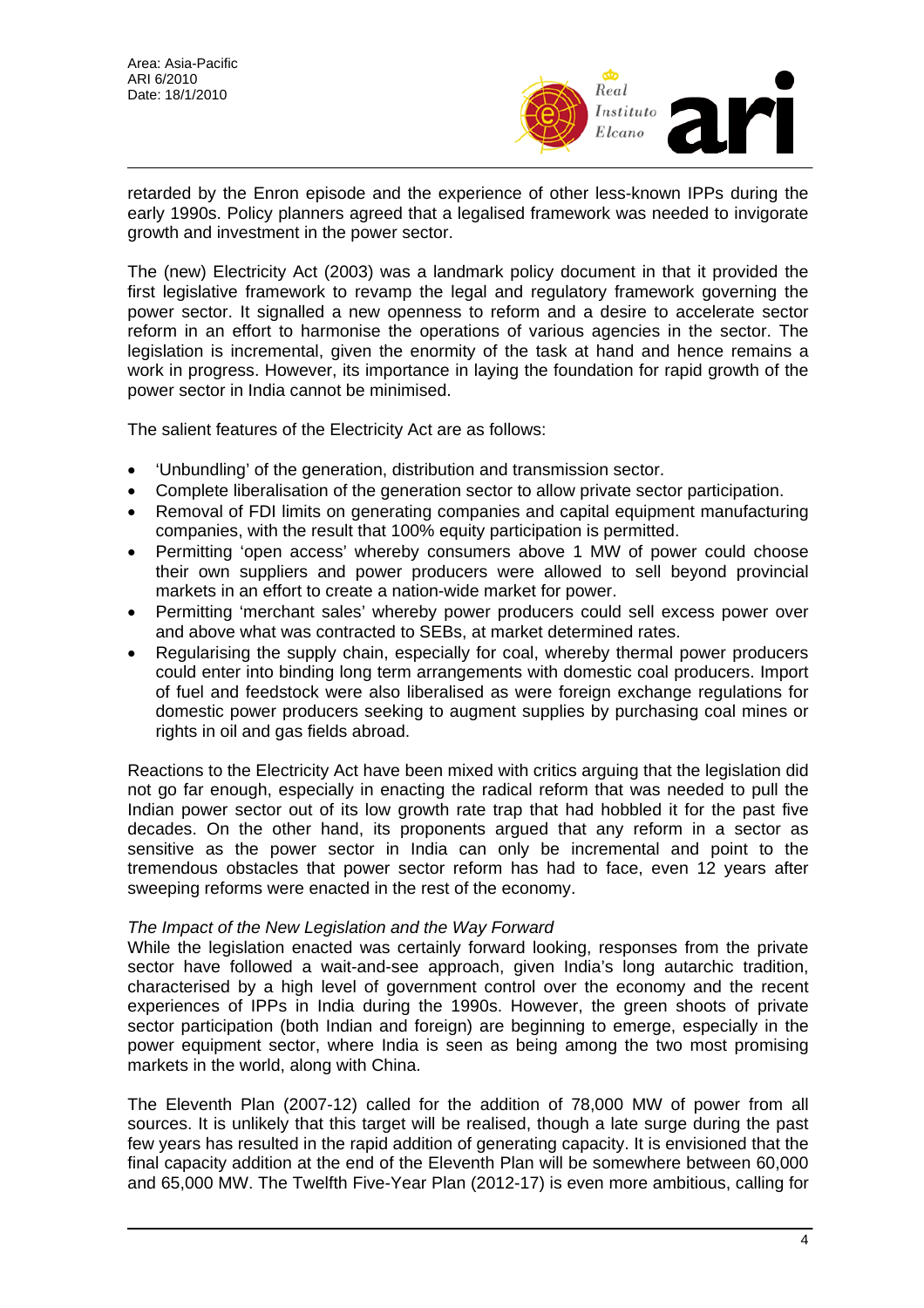

retarded by the Enron episode and the experience of other less-known IPPs during the early 1990s. Policy planners agreed that a legalised framework was needed to invigorate growth and investment in the power sector.

The (new) Electricity Act (2003) was a landmark policy document in that it provided the first legislative framework to revamp the legal and regulatory framework governing the power sector. It signalled a new openness to reform and a desire to accelerate sector reform in an effort to harmonise the operations of various agencies in the sector. The legislation is incremental, given the enormity of the task at hand and hence remains a work in progress. However, its importance in laying the foundation for rapid growth of the power sector in India cannot be minimised.

The salient features of the Electricity Act are as follows:

- 'Unbundling' of the generation, distribution and transmission sector.
- Complete liberalisation of the generation sector to allow private sector participation.
- Removal of FDI limits on generating companies and capital equipment manufacturing companies, with the result that 100% equity participation is permitted.
- Permitting 'open access' whereby consumers above 1 MW of power could choose their own suppliers and power producers were allowed to sell beyond provincial markets in an effort to create a nation-wide market for power.
- Permitting 'merchant sales' whereby power producers could sell excess power over and above what was contracted to SEBs, at market determined rates.
- Regularising the supply chain, especially for coal, whereby thermal power producers could enter into binding long term arrangements with domestic coal producers. Import of fuel and feedstock were also liberalised as were foreign exchange regulations for domestic power producers seeking to augment supplies by purchasing coal mines or rights in oil and gas fields abroad.

Reactions to the Electricity Act have been mixed with critics arguing that the legislation did not go far enough, especially in enacting the radical reform that was needed to pull the Indian power sector out of its low growth rate trap that had hobbled it for the past five decades. On the other hand, its proponents argued that any reform in a sector as sensitive as the power sector in India can only be incremental and point to the tremendous obstacles that power sector reform has had to face, even 12 years after sweeping reforms were enacted in the rest of the economy.

# *The Impact of the New Legislation and the Way Forward*

While the legislation enacted was certainly forward looking, responses from the private sector have followed a wait-and-see approach, given India's long autarchic tradition, characterised by a high level of government control over the economy and the recent experiences of IPPs in India during the 1990s. However, the green shoots of private sector participation (both Indian and foreign) are beginning to emerge, especially in the power equipment sector, where India is seen as being among the two most promising markets in the world, along with China.

The Eleventh Plan (2007-12) called for the addition of 78,000 MW of power from all sources. It is unlikely that this target will be realised, though a late surge during the past few years has resulted in the rapid addition of generating capacity. It is envisioned that the final capacity addition at the end of the Eleventh Plan will be somewhere between 60,000 and 65,000 MW. The Twelfth Five-Year Plan (2012-17) is even more ambitious, calling for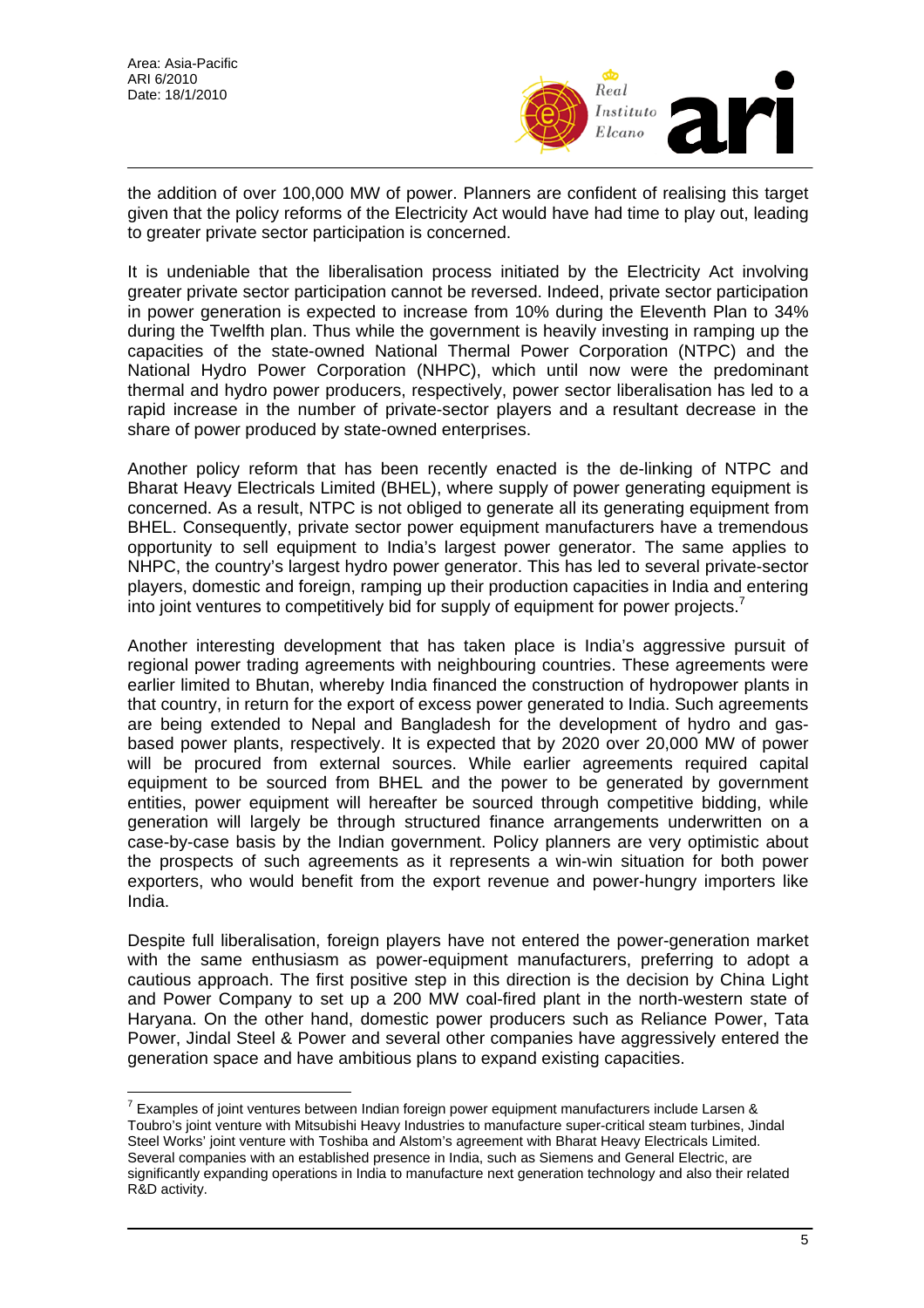$\overline{a}$ 



the addition of over 100,000 MW of power. Planners are confident of realising this target given that the policy reforms of the Electricity Act would have had time to play out, leading to greater private sector participation is concerned.

It is undeniable that the liberalisation process initiated by the Electricity Act involving greater private sector participation cannot be reversed. Indeed, private sector participation in power generation is expected to increase from 10% during the Eleventh Plan to 34% during the Twelfth plan. Thus while the government is heavily investing in ramping up the capacities of the state-owned National Thermal Power Corporation (NTPC) and the National Hydro Power Corporation (NHPC), which until now were the predominant thermal and hydro power producers, respectively, power sector liberalisation has led to a rapid increase in the number of private-sector players and a resultant decrease in the share of power produced by state-owned enterprises.

Another policy reform that has been recently enacted is the de-linking of NTPC and Bharat Heavy Electricals Limited (BHEL), where supply of power generating equipment is concerned. As a result, NTPC is not obliged to generate all its generating equipment from BHEL. Consequently, private sector power equipment manufacturers have a tremendous opportunity to sell equipment to India's largest power generator. The same applies to NHPC, the country's largest hydro power generator. This has led to several private-sector players, domestic and foreign, ramping up their production capacities in India and entering into joint ventures to competitively bid for supply of equipment for power projects.<sup>[7](#page-4-0)</sup>

Another interesting development that has taken place is India's aggressive pursuit of regional power trading agreements with neighbouring countries. These agreements were earlier limited to Bhutan, whereby India financed the construction of hydropower plants in that country, in return for the export of excess power generated to India. Such agreements are being extended to Nepal and Bangladesh for the development of hydro and gasbased power plants, respectively. It is expected that by 2020 over 20,000 MW of power will be procured from external sources. While earlier agreements required capital equipment to be sourced from BHEL and the power to be generated by government entities, power equipment will hereafter be sourced through competitive bidding, while generation will largely be through structured finance arrangements underwritten on a case-by-case basis by the Indian government. Policy planners are very optimistic about the prospects of such agreements as it represents a win-win situation for both power exporters, who would benefit from the export revenue and power-hungry importers like India.

Despite full liberalisation, foreign players have not entered the power-generation market with the same enthusiasm as power-equipment manufacturers, preferring to adopt a cautious approach. The first positive step in this direction is the decision by China Light and Power Company to set up a 200 MW coal-fired plant in the north-western state of Haryana. On the other hand, domestic power producers such as Reliance Power, Tata Power, Jindal Steel & Power and several other companies have aggressively entered the generation space and have ambitious plans to expand existing capacities.

<span id="page-4-0"></span><sup>&</sup>lt;sup>7</sup> Examples of joint ventures between Indian foreign power equipment manufacturers include Larsen & Toubro's joint venture with Mitsubishi Heavy Industries to manufacture super-critical steam turbines, Jindal Steel Works' joint venture with Toshiba and Alstom's agreement with Bharat Heavy Electricals Limited. Several companies with an established presence in India, such as Siemens and General Electric, are significantly expanding operations in India to manufacture next generation technology and also their related R&D activity.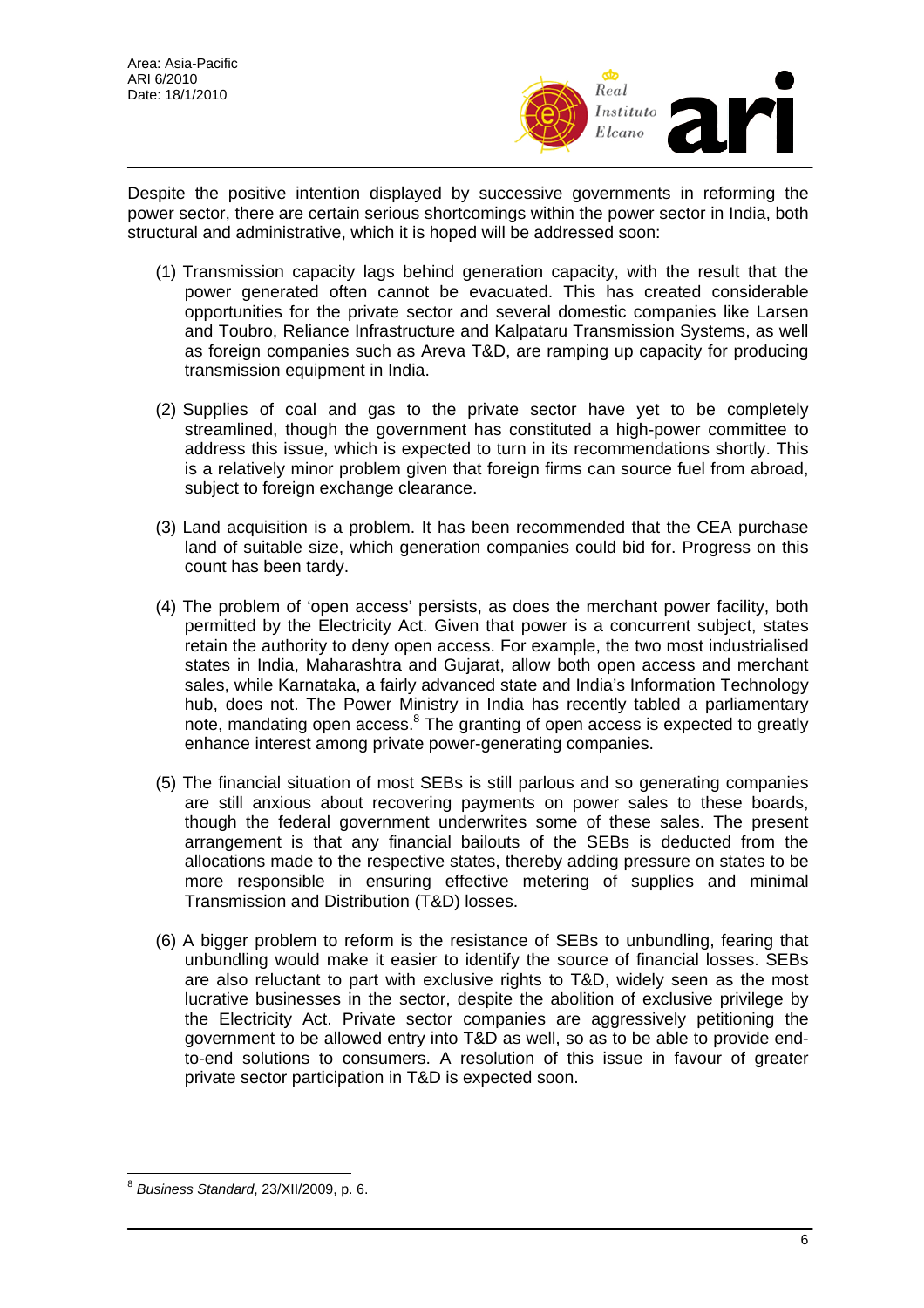

Despite the positive intention displayed by successive governments in reforming the power sector, there are certain serious shortcomings within the power sector in India, both structural and administrative, which it is hoped will be addressed soon:

- (1) Transmission capacity lags behind generation capacity, with the result that the power generated often cannot be evacuated. This has created considerable opportunities for the private sector and several domestic companies like Larsen and Toubro, Reliance Infrastructure and Kalpataru Transmission Systems, as well as foreign companies such as Areva T&D, are ramping up capacity for producing transmission equipment in India.
- (2) Supplies of coal and gas to the private sector have yet to be completely streamlined, though the government has constituted a high-power committee to address this issue, which is expected to turn in its recommendations shortly. This is a relatively minor problem given that foreign firms can source fuel from abroad, subject to foreign exchange clearance.
- (3) Land acquisition is a problem. It has been recommended that the CEA purchase land of suitable size, which generation companies could bid for. Progress on this count has been tardy.
- (4) The problem of 'open access' persists, as does the merchant power facility, both permitted by the Electricity Act. Given that power is a concurrent subject, states retain the authority to deny open access. For example, the two most industrialised states in India, Maharashtra and Gujarat, allow both open access and merchant sales, while Karnataka, a fairly advanced state and India's Information Technology hub, does not. The Power Ministry in India has recently tabled a parliamentary note, mandating open access.<sup>[8](#page-5-0)</sup> The granting of open access is expected to greatly enhance interest among private power-generating companies.
- (5) The financial situation of most SEBs is still parlous and so generating companies are still anxious about recovering payments on power sales to these boards, though the federal government underwrites some of these sales. The present arrangement is that any financial bailouts of the SEBs is deducted from the allocations made to the respective states, thereby adding pressure on states to be more responsible in ensuring effective metering of supplies and minimal Transmission and Distribution (T&D) losses.
- (6) A bigger problem to reform is the resistance of SEBs to unbundling, fearing that unbundling would make it easier to identify the source of financial losses. SEBs are also reluctant to part with exclusive rights to T&D, widely seen as the most lucrative businesses in the sector, despite the abolition of exclusive privilege by the Electricity Act. Private sector companies are aggressively petitioning the government to be allowed entry into T&D as well, so as to be able to provide endto-end solutions to consumers. A resolution of this issue in favour of greater private sector participation in T&D is expected soon.

<span id="page-5-0"></span> $\overline{a}$ <sup>8</sup> *Business Standard*, 23/XII/2009, p. 6.